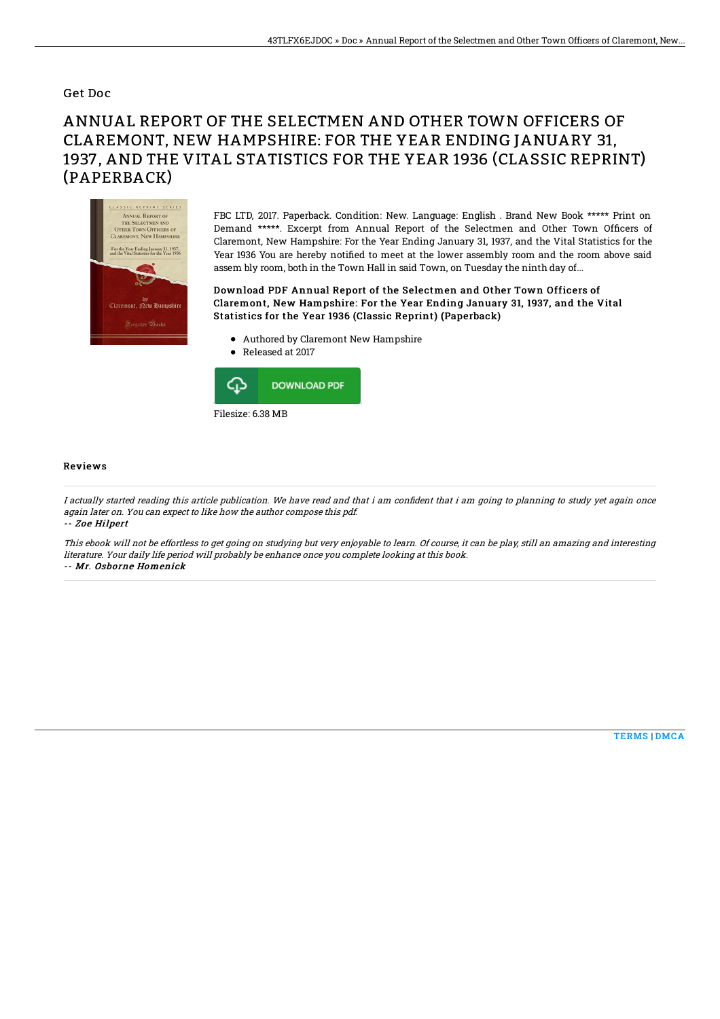### Get Doc

# ANNUAL REPORT OF THE SELECTMEN AND OTHER TOWN OFFICERS OF CLAREMONT, NEW HAMPSHIRE: FOR THE YEAR ENDING JANUARY 31, 1937, AND THE VITAL STATISTICS FOR THE YEAR 1936 (CLASSIC REPRINT) (PAPERBACK)



FBC LTD, 2017. Paperback. Condition: New. Language: English . Brand New Book \*\*\*\*\* Print on Demand \*\*\*\*\*. Excerpt from Annual Report of the Selectmen and Other Town Officers of Claremont, New Hampshire: For the Year Ending January 31, 1937, and the Vital Statistics for the Year 1936 You are hereby notified to meet at the lower assembly room and the room above said assem bly room, both in the Town Hall in said Town, on Tuesday the ninth day of...

#### Download PDF Annual Report of the Selectmen and Other Town Officers of Claremont, New Hampshire: For the Year Ending January 31, 1937, and the Vital Statistics for the Year 1936 (Classic Reprint) (Paperback)

- Authored by Claremont New Hampshire
- Released at 2017



#### Reviews

I actually started reading this article publication. We have read and that i am confident that i am going to planning to study yet again once again later on. You can expect to like how the author compose this pdf. -- Zoe Hilpert

This ebook will not be effortless to get going on studying but very enjoyable to learn. Of course, it can be play, still an amazing and interesting literature. Your daily life period will probably be enhance once you complete looking at this book. -- Mr. Osborne Homenick